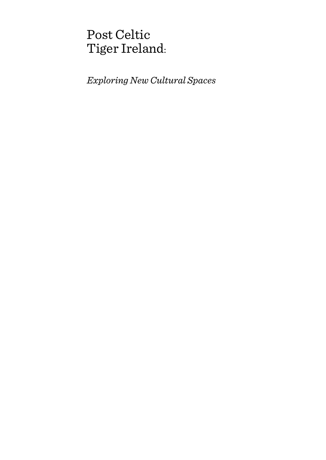# Post Celtic Tiger Ireland:

*Exploring New Cultural Spaces*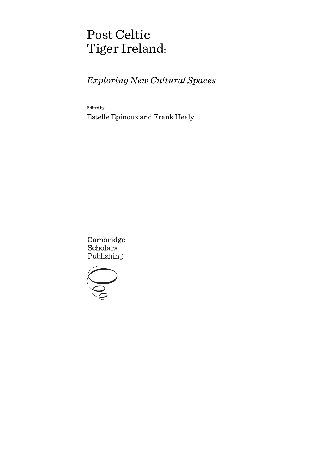# Post Celtic Tiger Ireland:

## *Exploring New Cultural Spaces*

Edited by

Estelle Epinoux and Frank Healy

Cambridge **Scholars** Publishing

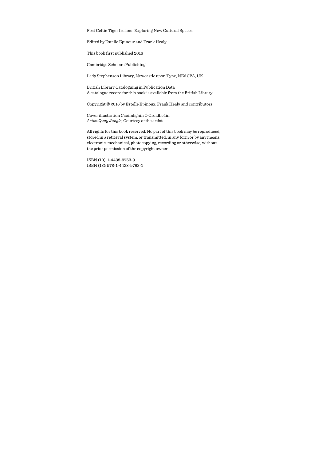Post Celtic Tiger Ireland: Exploring New Cultural Spaces

Edited by Estelle Epinoux and Frank Healy

This book first published 2016

Cambridge Scholars Publishing

Lady Stephenson Library, Newcastle upon Tyne, NE6 2PA, UK

British Library Cataloguing in Publication Data A catalogue record for this book is available from the British Library

Copyright © 2016 by Estelle Epinoux, Frank Healy and contributors

Cover illustration Caoimhghin Ó Croidheáin *Aston Quay Jungle*, Courtesy of the artist

All rights for this book reserved. No part of this book may be reproduced, stored in a retrieval system, or transmitted, in any form or by any means, electronic, mechanical, photocopying, recording or otherwise, without the prior permission of the copyright owner.

ISBN (10): 1-4438-9763-9 ISBN (13): 978-1-4438-9763-1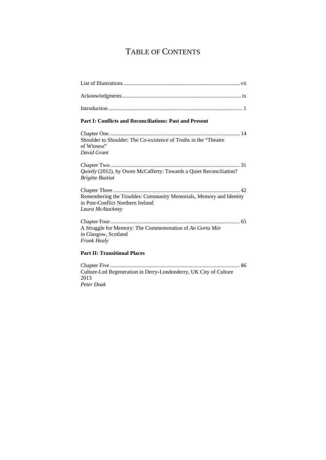## TABLE OF CONTENTS

| Part I: Conflicts and Reconciliations: Past and Present                                                                     |
|-----------------------------------------------------------------------------------------------------------------------------|
| Shoulder to Shoulder: The Co-existence of Truths in the "Theatre"<br>of Witness"<br>David Grant                             |
| Quietly (2012), by Owen McCafferty: Towards a Quiet Reconciliation?<br><b>Brigitte Bastiat</b>                              |
| Remembering the Troubles: Community Memorials, Memory and Identity<br>in Post-Conflict Northern Ireland<br>Laura McAtackney |
| A Struggle for Memory: The Commemoration of An Gorta Mór<br>in Glasgow, Scotland<br>Frank Healy                             |
| <b>Part II: Transitional Places</b>                                                                                         |

Chapter Five .............................................................................................. 86 Culture-Led Regeneration in Derry-Londonderry, UK City of Culture 2013 *Peter Doak*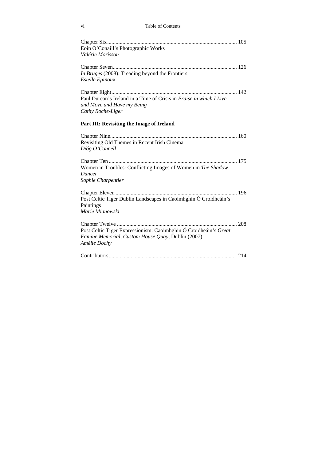| Eoin O'Conaill's Photographic Works                                 |  |
|---------------------------------------------------------------------|--|
| Valérie Morisson                                                    |  |
|                                                                     |  |
| In Bruges (2008): Treading beyond the Frontiers                     |  |
| <b>Estelle Epinoux</b>                                              |  |
|                                                                     |  |
| Paul Durcan's Ireland in a Time of Crisis in Praise in which I Live |  |
| and Move and Have my Being                                          |  |
| Cathy Roche-Liger                                                   |  |
| Part III: Revisiting the Image of Ireland                           |  |
|                                                                     |  |
| Revisiting Old Themes in Recent Irish Cinema                        |  |
| Díóg O'Connell                                                      |  |
|                                                                     |  |
| Women in Troubles: Conflicting Images of Women in The Shadow        |  |
| Dancer                                                              |  |
| Sophie Charpentier                                                  |  |
|                                                                     |  |
| Post Celtic Tiger Dublin Landscapes in Caoimhghin Ó Croidheáin's    |  |
| Paintings                                                           |  |
| Marie Mianowski                                                     |  |
|                                                                     |  |
| Post Celtic Tiger Expressionism: Caoimhghin Ó Croidheáin's Great    |  |
| Famine Memorial, Custom House Quay, Dublin (2007)                   |  |
| Amélie Dochy                                                        |  |
|                                                                     |  |
|                                                                     |  |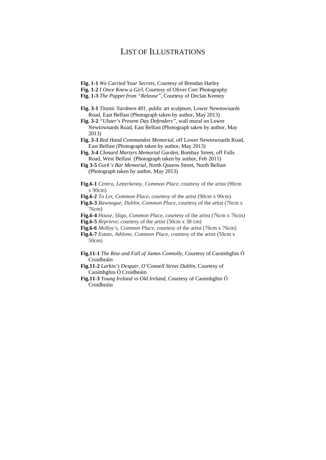## LIST OF ILLUSTRATIONS

- **Fig. 1-1** *We Carried Your Secrets*, Courtesy of Brendan Harley
- **Fig. 1-2** *I Once Knew a Girl*, Courtesy of Oliver Corr Photography
- **Fig. 1-3** *The Puppet from "Release"*, Courtesy of Declan Keeney
- **Fig. 3-1** *Titanic Yardmen 401,* public art sculpture*,* Lower Newtownards Road, East Belfast (Photograph taken by author, May 2013)
- **Fig. 3-2** *"Ulster's Present Day Defenders",* wall mural on Lower Newtownards Road, East Belfast (Photograph taken by author, May 2013)
- **Fig. 3-3** *Red Hand Commandos Memorial,* off Lower Newtownards Road, East Belfast (Photograph taken by author, May 2013)
- **Fig. 3-4** *Clonard Martyrs Memorial Garden,* Bombay Street, off Falls Road, West Belfast (Photograph taken by author, Feb 2011)
- **Fig 3-5** *Gurk's Bar Memorial,* North Queens Street, North Belfast (Photograph taken by author, May 2013)
- **Fig.6-1** *Centra, Letterkenny, Common Place*, courtesy of the artist (90cm x 90cm)
- **Fig.6-2** *To Let, Common Place, courtesy of the artist (90cm x 90cm)*
- **Fig.6-3** *Bawnogue, Dublin, Common Place*, courtesy of the artist (76cm x 76cm)
- **Fig.6-4** *House, Sligo, Common Place*, courtesy of the artist (76cm x 76cm)
- **Fig.6-5** *Reprieve*, courtesy of the artist (50cm x 38 cm)
- **Fig.6-6** *Molloy's, Common Place*, courtesy of the artist (76cm x 76cm)
- **Fig.6-7** *Estate, Athlone, Common Place*, courtesy of the artist (50cm x 50cm)
- **Fig.11-1** *The Rise and Fall of James Connolly*, Courtesy of Caoimhghin Ó Croidheáin
- **Fig.11-2** *Larkin's Despair, O'Connell Street Dublin*, Courtesy of Caoimhghin Ó Croidheáin
- **Fig.11-3** *Young Ireland vs Old Ireland*, Courtesy of Caoimhghin Ó Croidheáin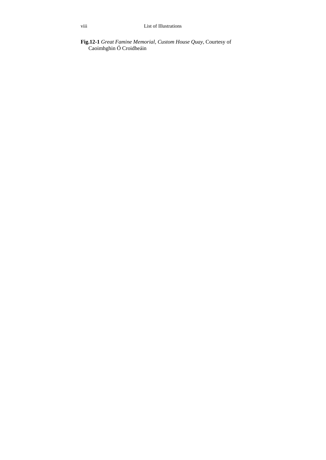### **Fig.12-1** *Great Famine Memorial, Custom House Quay*, Courtesy of Caoimhghin Ó Croidheáin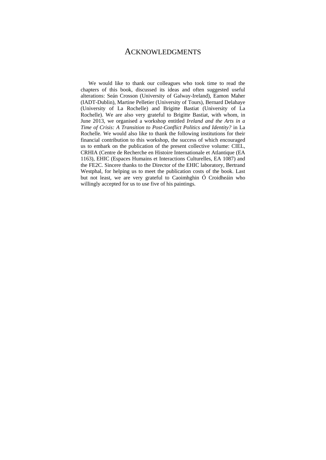## ACKNOWLEDGMENTS

We would like to thank our colleagues who took time to read the chapters of this book, discussed its ideas and often suggested useful alterations: Seán Crosson (University of Galway-Ireland), Eamon Maher (IADT-Dublin), Martine Pelletier (University of Tours), Bernard Delahaye (University of La Rochelle) and Brigitte Bastiat (University of La Rochelle). We are also very grateful to Brigitte Bastiat, with whom, in June 2013, we organised a workshop entitled *Ireland and the Arts in a Time of Crisis: A Transition to Post-Conflict Politics and Identity?* in La Rochelle*.* We would also like to thank the following institutions for their financial contribution to this workshop, the success of which encouraged us to embark on the publication of the present collective volume: CIEL, CRHIA (Centre de Recherche en Histoire Internationale et Atlantique (EA 1163), EHIC (Espaces Humains et Interactions Culturelles, EA 1087) and the FE2C. Sincere thanks to the Director of the EHIC laboratory, Bertrand Westphal, for helping us to meet the publication costs of the book. Last but not least, we are very grateful to Caoimhghin Ó Croidheáin who willingly accepted for us to use five of his paintings.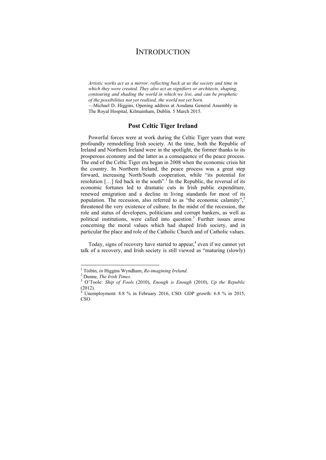## **INTRODUCTION**

*Artistic works act as a mirror, reflecting back at us the society and time in which they were created. They also act as signifiers or architects, shaping, contouring and shading the world in which we live, and can be prophetic of the possibilities not yet realised, the world not yet born.* 

—Michael D. Higgins, Opening address at Aosdana General Assembly in The Royal Hospital, Kilmainham, Dublin. 5 March 2015.

### **Post Celtic Tiger Ireland**

Powerful forces were at work during the Celtic Tiger years that were profoundly remodelling Irish society. At the time, both the Republic of Ireland and Northern Ireland were in the spotlight, the former thanks to its prosperous economy and the latter as a consequence of the peace process. The end of the Celtic Tiger era began in 2008 when the economic crisis hit the country. In Northern Ireland, the peace process was a great step forward, increasing North/South cooperation, while "its potential for resolution  $[...]$  fed back in the south".<sup> $\Gamma$ </sup> In the Republic, the reversal of its economic fortunes led to dramatic cuts in Irish public expenditure, renewed emigration and a decline in living standards for most of its population. The recession, also referred to as "the economic calamity", $2$ threatened the very existence of culture. In the midst of the recession, the role and status of developers, politicians and corrupt bankers, as well as political institutions, were called into question.<sup>3</sup> Further issues arose concerning the moral values which had shaped Irish society, and in particular the place and role of the Catholic Church and of Catholic values.

Today, signs of recovery have started to appear, $<sup>4</sup>$  even if we cannot yet</sup> talk of a recovery, and Irish society is still viewed as "maturing (slowly)

<sup>&</sup>lt;sup>1</sup> Tóibín, *in* Higgins Wyndham, *Re-imagining Ireland*.

Dunne, *The Irish Times*. 3

O'Toole: *Ship of Fools* (2010), *Enough is Enough* (2010), *Up the Republic* (2012).

 $4$  Unemployment: 8.8 % in February 2016, CSO. GDP growth: 6.8 % in 2015, CSO.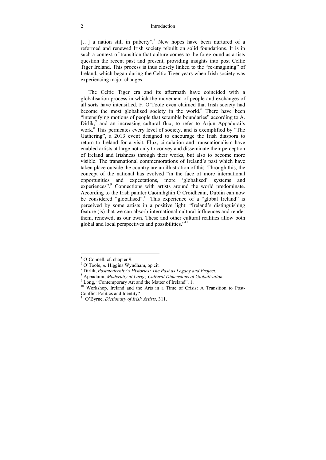#### 2 Introduction

[...] a nation still in puberty".<sup>5</sup> New hopes have been nurtured of a reformed and renewed Irish society rebuilt on solid foundations. It is in such a context of transition that culture comes to the foreground as artists question the recent past and present, providing insights into post Celtic Tiger Ireland. This process is thus closely linked to the "re-imagining" of Ireland, which began during the Celtic Tiger years when Irish society was experiencing major changes.

The Celtic Tiger era and its aftermath have coincided with a globalisation process in which the movement of people and exchanges of all sorts have intensified. F. O'Toole even claimed that Irish society had become the most globalised society in the world.<sup>6</sup> There have been "intensifying motions of people that scramble boundaries" according to A. Dirlik, $^7$  and an increasing cultural flux, to refer to Arjun Appadurai's work.<sup>8</sup> This permeates every level of society, and is exemplified by "The Gathering", a 2013 event designed to encourage the Irish diaspora to return to Ireland for a visit. Flux, circulation and transnationalism have enabled artists at large not only to convey and disseminate their perception of Ireland and Irishness through their works, but also to become more visible. The transnational commemorations of Ireland's past which have taken place outside the country are an illustration of this. Through this, the concept of the national has evolved "in the face of more international opportunities and expectations, more 'globalised' systems and experiences".<sup>9</sup> Connections with artists around the world predominate. According to the Irish painter Caoimhghin Ó Croidheáin, Dublin can now be considered "globalised".<sup>10</sup> This experience of a "global Ireland" is perceived by some artists in a positive light: "Ireland's distinguishing feature (is) that we can absorb international cultural influences and render them, renewed, as our own. These and other cultural realities allow both global and local perspectives and possibilities."11

 5 O'Connell, cf. chapter 9.

<sup>&</sup>lt;sup>6</sup> O'Toole, *in* Higgins Wyndham, op.cit.

Dirlik, *Postmodernity's Histories: The Past as Legacy and Project*. 8

Appadurai, *Modernity at Large, Cultural Dimensions of Globalization.* <sup>9</sup>

<sup>&</sup>lt;sup>9</sup> Long, "Contemporary Art and the Matter of Ireland", 1.

<sup>&</sup>lt;sup>10</sup> Workshop, Ireland and the Arts in a Time of Crisis: A Transition to Post-Conflict Politics and Identity?

<sup>11</sup> O'Byrne, *Dictionary of Irish Artists*, 311.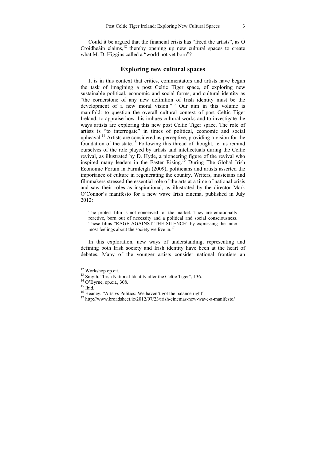Could it be argued that the financial crisis has "freed the artists", as  $\acute{O}$ Croidheáin claims, $12$  thereby opening up new cultural spaces to create what M. D. Higgins called a "world not yet born"?

### **Exploring new cultural spaces**

It is in this context that critics, commentators and artists have begun the task of imagining a post Celtic Tiger space, of exploring new sustainable political, economic and social forms, and cultural identity as "the cornerstone of any new definition of Irish identity must be the development of a new moral vision."<sup>13</sup> Our aim in this volume is manifold: to question the overall cultural context of post Celtic Tiger Ireland, to appraise how this imbues cultural works and to investigate the ways artists are exploring this new post Celtic Tiger space. The role of artists is "to interrogate" in times of political, economic and social upheaval.14 Artists are considered as perceptive, providing a vision for the foundation of the state.<sup>15</sup> Following this thread of thought, let us remind ourselves of the role played by artists and intellectuals during the Celtic revival, as illustrated by D. Hyde, a pioneering figure of the revival who inspired many leaders in the Easter Rising.<sup>16</sup> During The Global Irish Economic Forum in Farmleigh (2009), politicians and artists asserted the importance of culture in regenerating the country. Writers, musicians and filmmakers stressed the essential role of the arts at a time of national crisis and saw their roles as inspirational, as illustrated by the director Mark O'Connor's manifesto for a new wave Irish cinema, published in July 2012:

The protest film is not conceived for the market. They are emotionally reactive, born out of necessity and a political and social consciousness. These films "RAGE AGAINST THE SILENCE" by expressing the inner most feelings about the society we live in.<sup>17</sup>

In this exploration, new ways of understanding, representing and defining both Irish society and Irish identity have been at the heart of debates. Many of the younger artists consider national frontiers an

<sup>&</sup>lt;sup>12</sup> Workshop op.cit.

<sup>&</sup>lt;sup>13</sup> Smyth, "Irish National Identity after the Celtic Tiger", 136.<br><sup>14</sup> O'Byrne, op.cit., 308.<br><sup>15</sup> Ibid.

<sup>&</sup>lt;sup>16</sup> Heaney, "Arts vs Politics: We haven't got the balance right".

<sup>17</sup> http://www.broadsheet.ie/2012/07/23/irish-cinemas-new-wave-a-manifesto/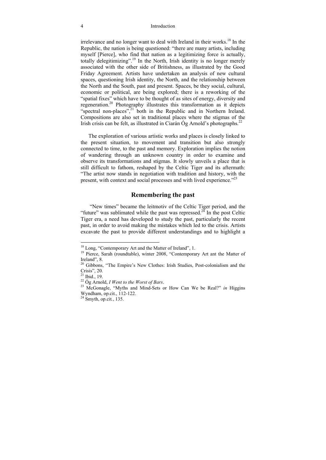#### 4 Introduction

irrelevance and no longer want to deal with Ireland in their works.<sup>18</sup> In the Republic, the nation is being questioned: "there are many artists, including myself [Pierce], who find that nation as a legitimizing force is actually, totally delegitimizing".19 In the North, Irish identity is no longer merely associated with the other side of Britishness, as illustrated by the Good Friday Agreement. Artists have undertaken an analysis of new cultural spaces, questioning Irish identity, the North, and the relationship between the North and the South, past and present. Spaces, be they social, cultural, economic or political, are being explored; there is a reworking of the "spatial fixes" which have to be thought of as sites of energy, diversity and regeneration.20 Photography illustrates this transformation as it depicts "spectral non-places",<sup>21</sup> both in the Republic and in Northern Ireland. Compositions are also set in traditional places where the stigmas of the Irish crisis can be felt, as illustrated in Ciarán Óg Arnold's photographs.<sup>22</sup>

The exploration of various artistic works and places is closely linked to the present situation, to movement and transition but also strongly connected to time, to the past and memory. Exploration implies the notion of wandering through an unknown country in order to examine and observe its transformations and stigmas. It slowly unveils a place that is still difficult to fathom, reshaped by the Celtic Tiger and its aftermath: "The artist now stands in negotiation with tradition and history, with the present, with context and social processes and with lived experience."<sup>23</sup>

## **Remembering the past**

 "New times" became the leitmotiv of the Celtic Tiger period, and the "future" was sublimated while the past was repressed.<sup>24</sup> In the post Celtic Tiger era, a need has developed to study the past, particularly the recent past, in order to avoid making the mistakes which led to the crisis. Artists excavate the past to provide different understandings and to highlight a

<sup>18</sup> Long, "Contemporary Art and the Matter of Ireland", 1.

<sup>&</sup>lt;sup>19</sup> Pierce, Sarah (roundtable), winter 2008, "Contemporary Art ant the Matter of Ireland", 8.

<sup>&</sup>lt;sup>20</sup> Gibbons, "The Empire's New Clothes: Irish Studies, Post-colonialism and the Crisis", 20.

 $^{21}$  Ibid., 19.

<sup>22</sup> Óg Arnold, *I Went to the Worst of Bars*. 23 McGonagle, "Myths and Mind-Sets or How Can We be Real?" *in* Higgins Wyndham, op.cit., 112-122.

<sup>24</sup> Smyth, op.cit*.*, 135.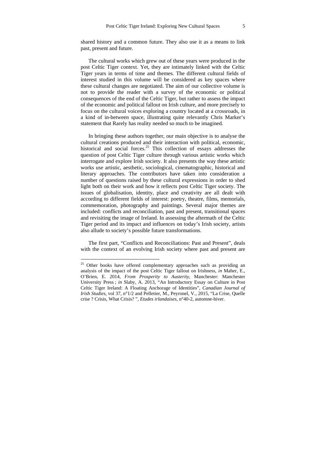shared history and a common future. They also use it as a means to link past, present and future.

The cultural works which grew out of these years were produced in the post Celtic Tiger context. Yet, they are intimately linked with the Celtic Tiger years in terms of time and themes. The different cultural fields of interest studied in this volume will be considered as key spaces where these cultural changes are negotiated. The aim of our collective volume is not to provide the reader with a survey of the economic or political consequences of the end of the Celtic Tiger, but rather to assess the impact of the economic and political fallout on Irish culture, and more precisely to focus on the cultural voices exploring a country located at a crossroads, in a kind of in-between space, illustrating quite relevantly Chris Marker's statement that Rarely has reality needed so much to be imagined.

In bringing these authors together, our main objective is to analyse the cultural creations produced and their interaction with political, economic, historical and social forces.<sup>25</sup> This collection of essays addresses the question of post Celtic Tiger culture through various artistic works which interrogate and explore Irish society. It also presents the way these artistic works use artistic, aesthetic, sociological, cinematographic, historical and literary approaches. The contributors have taken into consideration a number of questions raised by these cultural expressions in order to shed light both on their work and how it reflects post Celtic Tiger society. The issues of globalisation, identity, place and creativity are all dealt with according to different fields of interest: poetry, theatre, films, memorials, commemoration, photography and paintings. Several major themes are included: conflicts and reconciliation, past and present, transitional spaces and revisiting the image of Ireland. In assessing the aftermath of the Celtic Tiger period and its impact and influences on today's Irish society, artists also allude to society's possible future transformations.

The first part, "Conflicts and Reconciliations: Past and Present", deals with the context of an evolving Irish society where past and present are

<sup>&</sup>lt;sup>25</sup> Other books have offered complementary approaches such as providing an analysis of the impact of the post Celtic Tiger fallout on Irishness, *in* Maher, E., O'Brien, E. 2014, *From Prosperity to Austerity*, Manchester: Manchester University Press ; *in* Slaby, A. 2013, "An Introductory Essay on Culture in Post Celtic Tiger Ireland: A Floating Anchorage of Identities", *Canadian Journal of Irish Studies*, vol 37, n°1/2 and Pelletier, M., Peyronel, V., 2015, "La Crise, Quelle crise ? Crisis, What Crisis? ", *Etudes irlandaises*, n°40-2, automne-hiver.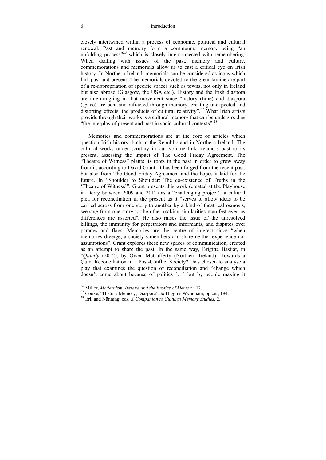#### 6 Introduction

closely intertwined within a process of economic, political and cultural renewal. Past and memory form a continuum, memory being "an unfolding process<sup>326</sup> which is closely interconnected with remembering. When dealing with issues of the past, memory and culture, commemorations and memorials allow us to cast a critical eye on Irish history. In Northern Ireland, memorials can be considered as icons which link past and present. The memorials devoted to the great famine are part of a re-appropriation of specific spaces such as towns, not only in Ireland but also abroad (Glasgow, the USA etc.). History and the Irish diaspora are intermingling in that movement since "history (time) and diaspora (space) are bent and refracted through memory, creating unexpected and distorting effects, the products of cultural relativity".<sup>27</sup> What Irish artists provide through their works is a cultural memory that can be understood as "the interplay of present and past in socio-cultural contexts".<sup>28</sup>

Memories and commemorations are at the core of articles which question Irish history, both in the Republic and in Northern Ireland. The cultural works under scrutiny in our volume link Ireland's past to its present, assessing the impact of The Good Friday Agreement. The "Theatre of Witness" plants its roots in the past in order to grow away from it, according to David Grant; it has been forged from the recent past, but also from The Good Friday Agreement and the hopes it laid for the future. In "Shoulder to Shoulder: The co-existence of Truths in the 'Theatre of Witness'", Grant presents this work (created at the Playhouse in Derry between 2009 and 2012) as a "challenging project", a cultural plea for reconciliation in the present as it "serves to allow ideas to be carried across from one story to another by a kind of theatrical osmosis, seepage from one story to the other making similarities manifest even as differences are asserted". He also raises the issue of the unresolved killings, the immunity for perpetrators and informants, and disputes over parades and flags. Memories are the centre of interest since "when memories diverge, a society's members can share neither experience nor assumptions". Grant explores these new spaces of communication, created as an attempt to share the past. In the same way, Brigitte Bastiat, in "*Quietly* (2012), by Owen McCafferty (Northern Ireland): Towards a Quiet Reconciliation in a Post-Conflict Society?" has chosen to analyse a play that examines the question of reconciliation and "change which doesn't come about because of politics […] but by people making it

<sup>&</sup>lt;sup>26</sup> Miller, *Modernism, Ireland and the Erotics of Memory*, 12.<br><sup>27</sup> Cooke, "History Memory, Diaspora", *in* Higgins Wyndham, op.cit., 184.<br><sup>28</sup> Erll and Nünning, eds, *A Companion to Cultural Memory Studies*, 2.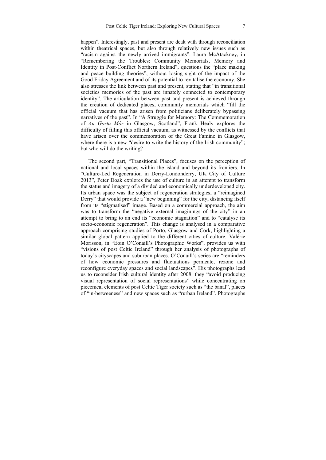happen". Interestingly, past and present are dealt with through reconciliation within theatrical spaces, but also through relatively new issues such as "racism against the newly arrived immigrants". Laura McAtackney, in "Remembering the Troubles: Community Memorials, Memory and Identity in Post-Conflict Northern Ireland", questions the "place making and peace building theories", without losing sight of the impact of the Good Friday Agreement and of its potential to revitalise the economy. She also stresses the link between past and present, stating that "in transitional societies memories of the past are innately connected to contemporary identity". The articulation between past and present is achieved through the creation of dedicated places, community memorials which "fill the official vacuum that has arisen from politicians deliberately bypassing narratives of the past". In "A Struggle for Memory: The Commemoration of *An Gorta Mór* in Glasgow, Scotland", Frank Healy explores the difficulty of filling this official vacuum, as witnessed by the conflicts that have arisen over the commemoration of the Great Famine in Glasgow, where there is a new "desire to write the history of the Irish community"; but who will do the writing?

The second part, "Transitional Places", focuses on the perception of national and local spaces within the island and beyond its frontiers. In "Culture-Led Regeneration in Derry-Londonderry, UK City of Culture 2013", Peter Doak explores the use of culture in an attempt to transform the status and imagery of a divided and economically underdeveloped city. Its urban space was the subject of regeneration strategies, a "reimagined Derry" that would provide a "new beginning" for the city, distancing itself from its "stigmatised" image. Based on a commercial approach, the aim was to transform the "negative external imaginings of the city" in an attempt to bring to an end its "economic stagnation" and to "catalyse its socio-economic regeneration". This change is analysed in a comparative approach comprising studies of Porto, Glasgow and Cork, highlighting a similar global pattern applied to the different cities of culture. Valérie Morisson, in "Eoin O'Conaill's Photographic Works", provides us with "visions of post Celtic Ireland" through her analysis of photographs of today's cityscapes and suburban places. O'Conaill's series are "reminders of how economic pressures and fluctuations permeate, rezone and reconfigure everyday spaces and social landscapes". His photographs lead us to reconsider Irish cultural identity after 2008: they "avoid producing visual representation of social representations" while concentrating on piecemeal elements of post Celtic Tiger society such as "the banal", places of "in-betweeness" and new spaces such as "rurban Ireland". Photographs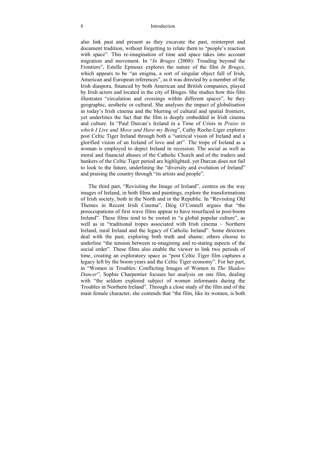#### 8 Introduction

also link past and present as they excavate the past, reinterpret and document tradition, without forgetting to relate them to "people's reaction with space". This re-imagination of time and space takes into account migration and movement. In "*In Bruges* (2008): Treading beyond the Frontiers", Estelle Epinoux explores the nature of the film *In Bruges*, which appears to be "an enigma, a sort of singular object full of Irish, American and European references", as it was directed by a member of the Irish diaspora, financed by both American and British companies, played by Irish actors and located in the city of Bruges. She studies how this film illustrates "circulation and crossings within different spaces", be they geographic, aesthetic or cultural. She analyses the impact of globalisation in today's Irish cinema and the blurring of cultural and spatial frontiers, yet underlines the fact that the film is deeply embedded in Irish cinema and culture. In "Paul Durcan's Ireland in a Time of Crisis in *Praise in which I Live and Move and Have my Being*", Cathy Roche-Liger explores post Celtic Tiger Ireland through both a "satirical vision of Ireland and a glorified vision of an Ireland of love and art". The trope of Ireland as a woman is employed to depict Ireland in recession. The social as well as moral and financial abuses of the Catholic Church and of the traders and bankers of the Celtic Tiger period are highlighted, yet Durcan does not fail to look to the future, underlining the "diversity and evolution of Ireland" and praising the country through "its artists and people".

The third part, "Revisiting the Image of Ireland", centres on the way images of Ireland, in both films and paintings, explore the transformations of Irish society, both in the North and in the Republic. In "Revisiting Old Themes in Recent Irish Cinema", Díóg O'Connell argues that "the preoccupations of first wave films appear to have resurfaced in post-boom Ireland". These films tend to be rooted in "a global popular culture", as well as in "traditional tropes associated with Irish cinema – Northern Ireland, rural Ireland and the legacy of Catholic Ireland". Some directors deal with the past, exploring both truth and shame; others choose to underline "the tension between re-imagining and re-stating aspects of the social order". These films also enable the viewer to link two periods of time, creating an exploratory space as "post Celtic Tiger film captures a legacy left by the boom years and the Celtic Tiger economy". For her part, in "Women in Troubles: Conflicting Images of Women in *The Shadow Dancer*", Sophie Charpentier focuses her analysis on one film, dealing with "the seldom explored subject of women informants during the Troubles in Northern Ireland". Through a close study of the film and of the main female character, she contends that "the film, like its women, is both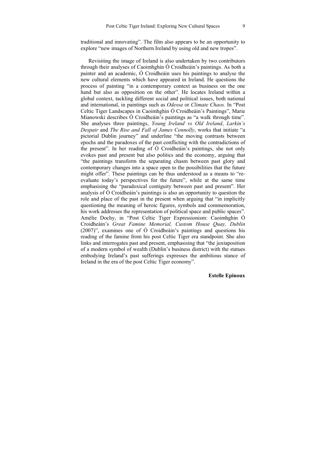traditional and innovating". The film also appears to be an opportunity to explore "new images of Northern Ireland by using old and new tropes".

Revisiting the image of Ireland is also undertaken by two contributors through their analyses of Caoimhghin Ó Croidheáin's paintings. As both a painter and an academic, Ó Croidheáin uses his paintings to analyse the new cultural elements which have appeared in Ireland. He questions the process of painting "in a contemporary context as business on the one hand but also as opposition on the other". He locates Ireland within a global context, tackling different social and political issues, both national and international, in paintings such as *Odessa* or *Climate Chaos.* In "Post Celtic Tiger Landscapes in Caoimhghin Ó Croidheáin's Paintings", Marie Mianowski describes Ó Croidheáin's paintings as "a walk through time". She analyses three paintings, *Young Ireland vs Old Ireland*, *Larkin's Despair* and *The Rise and Fall of James Connolly*, works that initiate "a pictorial Dublin journey" and underline "the moving contrasts between epochs and the paradoxes of the past conflicting with the contradictions of the present". In her reading of Ó Croidheáin's paintings, she not only evokes past and present but also politics and the economy, arguing that "the paintings transform the separating chasm between past glory and contemporary changes into a space open to the possibilities that the future might offer". These paintings can be thus understood as a means to "reevaluate today's perspectives for the future", while at the same time emphasising the "paradoxical contiguity between past and present". Her analysis of Ó Croidheáin's paintings is also an opportunity to question the role and place of the past in the present when arguing that "in implicitly questioning the meaning of heroic figures, symbols and commemoration, his work addresses the representation of political space and public spaces". Amélie Dochy, in "Post Celtic Tiger Expressionism: Caoimhghin Ó Croidheáin's *Great Famine Memorial, Custom House Quay, Dublin* (2007)", examines one of Ó Croidheáin's paintings and questions his reading of the famine from his post Celtic Tiger era standpoint. She also links and interrogates past and present, emphasising that "the juxtaposition of a modern symbol of wealth (Dublin's business district) with the statues embodying Ireland's past sufferings expresses the ambitious stance of Ireland in the era of the post Celtic Tiger economy".

### **Estelle Epinoux**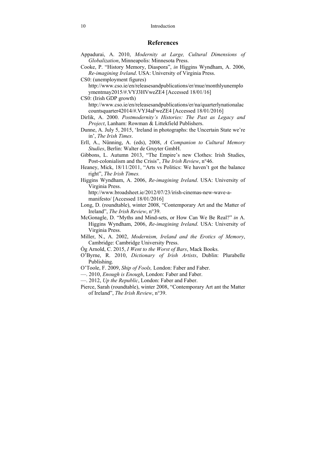### **References**

- Appadurai, A. 2010, *Modernity at Large, Cultural Dimensions of Globalization*, Minneapolis: Minnesota Press.
- Cooke, P. "History Memory, Diaspora", *in* Higgins Wyndham, A. 2006, *Re-imagining Ireland*. USA: University of Virginia Press.
- CS0: (unemployment figures) http://www.cso.ie/en/releasesandpublications/er/mue/monthlyunemplo ymentmay2015/#.VYJ3HVweZE4 [Accessed 18/01/16]
- CS0: (Irish GDP growth) http://www.cso.ie/en/releasesandpublications/er/na/quarterlynationalac countsquarter42014/#.VYJ4aFweZE4 [Accessed 18/01/2016]
- Dirlik, A. 2000. *Postmodernity's Histories: The Past as Legacy and Project*, Lanham: Rowman & Littekfield Publishers.
- Dunne, A. July 5, 2015, 'Ireland in photographs: the Uncertain State we're in', *The Irish Times*.
- Erll, A., Nünning, A. (eds), 2008, *A Companion to Cultural Memory Studies*, Berlin: Walter de Gruyter GmbH.
- Gibbons, L. Autumn 2013, "The Empire's new Clothes: Irish Studies, Post-colonialism and the Crisis", *The Irish Review*, n°46.
- Heaney, Mick, 18/11/2011, "Arts vs Politics: We haven't got the balance right", *The Irish Times.*
- Higgins Wyndham, A. 2006, *Re-imagining Ireland*. USA: University of Virginia Press.

http://www.broadsheet.ie/2012/07/23/irish-cinemas-new-wave-amanifesto/ [Accessed 18/01/2016]

- Long, D. (roundtable), winter 2008, "Contemporary Art and the Matter of Ireland", *The Irish Review*, n°39.
- McGonagle, D. "Myths and Mind-sets, or How Can We Be Real?" *in* A. Higgins Wyndham, 2006, *Re-imagining Ireland*. USA: University of Virginia Press.
- Miller, N., A. 2002, *Modernism, Ireland and the Erotics of Memory*, Cambridge: Cambridge University Press.
- Óg Arnold, C. 2015, *I Went to the Worst of Bars*, Mack Books.
- O'Byrne, R. 2010, *Dictionary of Irish Artists*, Dublin: Plurabelle Publishing.
- O'Toole, F. 2009, *Ship of Fools,* London: Faber and Faber.
- —. 2010, *Enough is Enough*, London: Faber and Faber.
- —. 2012, *Up the Republic*, London: Faber and Faber.
- Pierce, Sarah (roundtable), winter 2008, "Contemporary Art ant the Matter of Ireland", *The Irish Review*, n°39.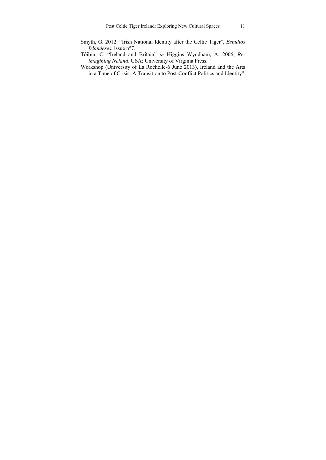- Smyth, G. 2012. "Irish National Identity after the Celtic Tiger", *Estudios Irlandeses*, issue n°7.
- Tóibín, C. "Ireland and Britain" *in* Higgins Wyndham, A. 2006, *Reimagining Ireland*. USA: University of Virginia Press.
- Workshop (University of La Rochelle-6 June 2013), Ireland and the Arts in a Time of Crisis: A Transition to Post-Conflict Politics and Identity?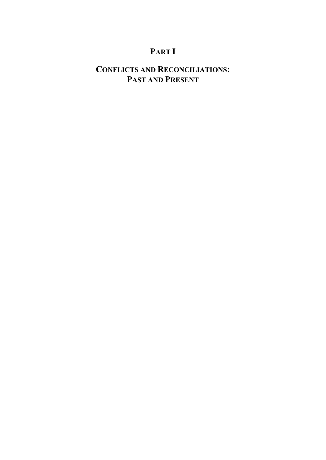## **PART I**

## **CONFLICTS AND RECONCILIATIONS: PAST AND PRESENT**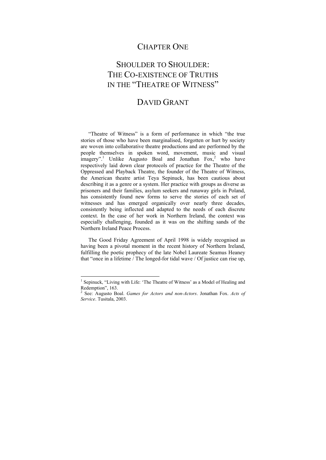## CHAPTER ONE

## SHOULDER TO SHOULDER. THE CO-EXISTENCE OF TRUTHS IN THE "THEATRE OF WITNESS"

## DAVID GRANT

"Theatre of Witness" is a form of performance in which "the true stories of those who have been marginalised, forgotten or hurt by society are woven into collaborative theatre productions and are performed by the people themselves in spoken word, movement, music and visual  $\frac{1}{2}$  imagery".<sup>1</sup> Unlike Augusto Boal and Jonathan Fox,<sup>2</sup> who have respectively laid down clear protocols of practice for the Theatre of the Oppressed and Playback Theatre, the founder of the Theatre of Witness, the American theatre artist Teya Sepinuck, has been cautious about describing it as a genre or a system. Her practice with groups as diverse as prisoners and their families, asylum seekers and runaway girls in Poland, has consistently found new forms to serve the stories of each set of witnesses and has emerged organically over nearly three decades, consistently being inflected and adapted to the needs of each discrete context. In the case of her work in Northern Ireland, the context was especially challenging, founded as it was on the shifting sands of the Northern Ireland Peace Process.

The Good Friday Agreement of April 1998 is widely recognised as having been a pivotal moment in the recent history of Northern Ireland, fulfilling the poetic prophecy of the late Nobel Laureate Seamus Heaney that "once in a lifetime / The longed-for tidal wave / Of justice can rise up,

<sup>&</sup>lt;sup>1</sup> Sepinuck, "Living with Life: 'The Theatre of Witness' as a Model of Healing and Redemption", 163.

<sup>2</sup> See: Augusto Boal. *Games for Actors and non-Actors*. Jonathan Fox. *Acts of Service*. Tusitala, 2003.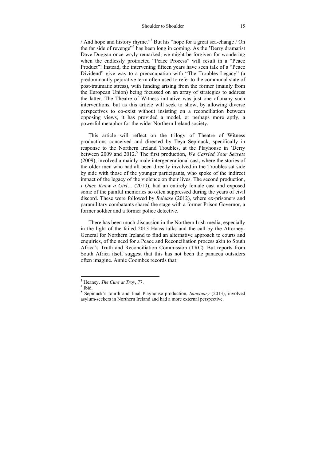/ And hope and history rhyme."<sup>3</sup> But his "hope for a great sea-change / On the far side of revenge<sup>,4</sup> has been long in coming. As the 'Derry dramatist Dave Duggan once wryly remarked, we might be forgiven for wondering when the endlessly protracted "Peace Process" will result in a "Peace Product"! Instead, the intervening fifteen years have seen talk of a "Peace Dividend" give way to a preoccupation with "The Troubles Legacy" (a predominantly pejorative term often used to refer to the communal state of post-traumatic stress), with funding arising from the former (mainly from the European Union) being focussed on an array of strategies to address the latter. The Theatre of Witness initiative was just one of many such interventions, but as this article will seek to show, by allowing diverse perspectives to co-exist without insisting on a reconciliation between opposing views, it has provided a model, or perhaps more aptly, a powerful metaphor for the wider Northern Ireland society.

This article will reflect on the trilogy of Theatre of Witness productions conceived and directed by Teya Sepinuck, specifically in response to the Northern Ireland Troubles, at the Playhouse in 'Derry between 2009 and 2012.<sup>5</sup> The first production, *We Carried Your Secrets* (2009), involved a mainly male intergenerational cast, where the stories of the older men who had all been directly involved in the Troubles sat side by side with those of the younger participants, who spoke of the indirect impact of the legacy of the violence on their lives. The second production, *I Once Knew a Girl...* (2010), had an entirely female cast and exposed some of the painful memories so often suppressed during the years of civil discord. These were followed by *Release* (2012), where ex-prisoners and paramilitary combatants shared the stage with a former Prison Governor, a former soldier and a former police detective.

There has been much discussion in the Northern Irish media, especially in the light of the failed 2013 Haass talks and the call by the Attorney-General for Northern Ireland to find an alternative approach to courts and enquiries, of the need for a Peace and Reconciliation process akin to South Africa's Truth and Reconciliation Commission (TRC). But reports from South Africa itself suggest that this has not been the panacea outsiders often imagine. Annie Coombes records that:

 $3<sup>3</sup>$  Heaney, *The Cure at Troy*, 77.

 $4$  Ibid.

<sup>5</sup> Sepinuck's fourth and final Playhouse production, *Sanctuary* (2013), involved asylum-seekers in Northern Ireland and had a more external perspective.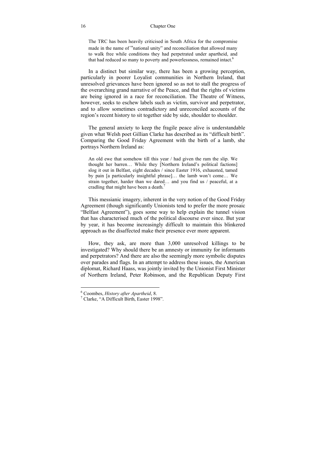#### 16 Chapter One

The TRC has been heavily criticised in South Africa for the compromise made in the name of "national unity" and reconciliation that allowed many to walk free while conditions they had perpetrated under apartheid, and that had reduced so many to poverty and powerlessness, remained intact.<sup>6</sup>

In a distinct but similar way, there has been a growing perception, particularly in poorer Loyalist communities in Northern Ireland, that unresolved grievances have been ignored so as not to stall the progress of the overarching grand narrative of the Peace, and that the rights of victims are being ignored in a race for reconciliation. The Theatre of Witness, however, seeks to eschew labels such as victim, survivor and perpetrator, and to allow sometimes contradictory and unreconciled accounts of the region's recent history to sit together side by side, shoulder to shoulder.

The general anxiety to keep the fragile peace alive is understandable given what Welsh poet Gillian Clarke has described as its "difficult birth". Comparing the Good Friday Agreement with the birth of a lamb, she portrays Northern Ireland as:

An old ewe that somehow till this year / had given the ram the slip. We thought her barren… While they [Northern Ireland's political factions] slog it out in Belfast, eight decades / since Easter 1916, exhausted, tamed by pain [a particularly insightful phrase]… the lamb won't come… We strain together, harder than we dared… and you find us / peaceful, at a cradling that might have been a death.<sup>7</sup>

This messianic imagery, inherent in the very notion of the Good Friday Agreement (though significantly Unionists tend to prefer the more prosaic "Belfast Agreement"), goes some way to help explain the tunnel vision that has characterised much of the political discourse ever since. But year by year, it has become increasingly difficult to maintain this blinkered approach as the disaffected make their presence ever more apparent.

How, they ask, are more than 3,000 unresolved killings to be investigated? Why should there be an amnesty or immunity for informants and perpetrators? And there are also the seemingly more symbolic disputes over parades and flags. In an attempt to address these issues, the American diplomat, Richard Haass, was jointly invited by the Unionist First Minister of Northern Ireland, Peter Robinson, and the Republican Deputy First

<sup>&</sup>lt;sup>6</sup> Coombes, *History after Apartheid*, 8.<br><sup>7</sup> Clarka <sup>66</sup> A Difficult Pirth, Easter 100

 $\frac{7}{1}$  Clarke, "A Difficult Birth, Easter 1998".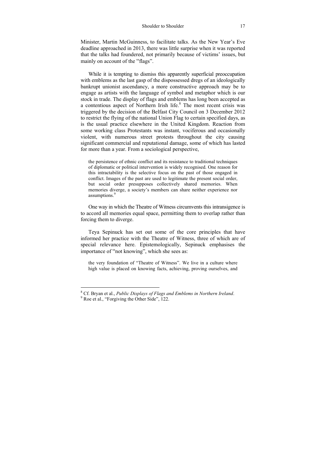Minister, Martin McGuinness, to facilitate talks. As the New Year's Eve deadline approached in 2013, there was little surprise when it was reported that the talks had foundered, not primarily because of victims' issues, but mainly on account of the "flags".

While it is tempting to dismiss this apparently superficial preoccupation with emblems as the last gasp of the dispossessed dregs of an ideologically bankrupt unionist ascendancy, a more constructive approach may be to engage as artists with the language of symbol and metaphor which is our stock in trade. The display of flags and emblems has long been accepted as a contentious aspect of Northern Irish life.<sup>8</sup> The most recent crisis was triggered by the decision of the Belfast City Council on 3 December 2012 to restrict the flying of the national Union Flag to certain specified days, as is the usual practice elsewhere in the United Kingdom. Reaction from some working class Protestants was instant, vociferous and occasionally violent, with numerous street protests throughout the city causing significant commercial and reputational damage, some of which has lasted for more than a year. From a sociological perspective,

the persistence of ethnic conflict and its resistance to traditional techniques of diplomatic or political intervention is widely recognised. One reason for this intractability is the selective focus on the past of those engaged in conflict. Images of the past are used to legitimate the present social order, but social order presupposes collectively shared memories. When memories diverge, a society's members can share neither experience nor assumptions.<sup>9</sup>

One way in which the Theatre of Witness circumvents this intransigence is to accord all memories equal space, permitting them to overlap rather than forcing them to diverge.

Teya Sepinuck has set out some of the core principles that have informed her practice with the Theatre of Witness, three of which are of special relevance here. Epistemologically, Sepinuck emphasises the importance of "not knowing", which she sees as:

the very foundation of "Theatre of Witness". We live in a culture where high value is placed on knowing facts, achieving, proving ourselves, and

<sup>&</sup>lt;sup>8</sup> Cf. Bryan et al., *Public Displays of Flags and Emblems in Northern Ireland.* 

<sup>&</sup>lt;sup>9</sup> Roe et al., "Forgiving the Other Side", 122.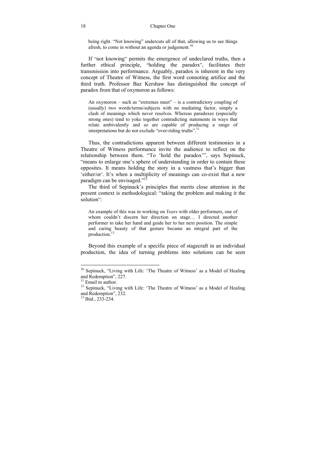being right. "Not knowing" undercuts all of that, allowing us to see things afresh, to come in without an agenda or judgement.<sup>10</sup>

If "not knowing" permits the emergence of undeclared truths, then a further ethical principle, "holding the paradox", facilitates their transmission into performance. Arguably, paradox is inherent in the very concept of Theatre of Witness, the first word connoting artifice and the third truth. Professor Baz Kershaw has distinguished the concept of paradox from that of oxymoron as follows:

An oxymoron – such as "extremes meet" – is a contradictory coupling of (usually) two words/terms/subjects with no mediating factor, simply a clash of meanings which never resolves. Whereas paradoxes (especially strong ones) tend to yoke together contradicting statements in ways that relate ambivalently and so are capable of producing a range of interpretations but do not exclude "over-riding truths".<sup>11</sup>

Thus, the contradictions apparent between different testimonies in a Theatre of Witness performance invite the audience to reflect on the relationship between them. "To 'hold the paradox'", says Sepinuck, "means to enlarge one's sphere of understanding in order to contain these opposites. It means holding the story in a vastness that's bigger than 'either/or'. It's when a multiplicity of meanings can co-exist that a new paradigm can be envisaged."<sup>12</sup>

The third of Sepinuck's principles that merits close attention in the present context is methodological: "taking the problem and making it the solution":

An example of this was in working on *Years* with older performers, one of whom couldn't discern her direction on stage… I directed another performer to take her hand and guide her to her next position. The simple and caring beauty of that gesture became an integral part of the production.13

Beyond this example of a specific piece of stagecraft in an individual production, the idea of turning problems into solutions can be seen

<sup>&</sup>lt;sup>10</sup> Sepinuck, "Living with Life: 'The Theatre of Witness' as a Model of Healing and Redemption", 227.

 $11$  Email to author.

<sup>&</sup>lt;sup>12</sup> Sepinuck, "Living with Life: 'The Theatre of Witness' as a Model of Healing and Redemption", 232.

 $13$  Ibid., 233-234.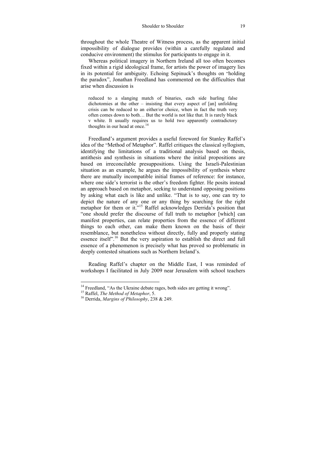throughout the whole Theatre of Witness process, as the apparent initial impossibility of dialogue provides (within a carefully regulated and conducive environment) the stimulus for participants to engage in it.

Whereas political imagery in Northern Ireland all too often becomes fixed within a rigid ideological frame, for artists the power of imagery lies in its potential for ambiguity. Echoing Sepinuck's thoughts on "holding the paradox", Jonathan Freedland has commented on the difficulties that arise when discussion is

reduced to a slanging match of binaries, each side hurling false dichotomies at the other – insisting that every aspect of [an] unfolding crisis can be reduced to an either/or choice, when in fact the truth very often comes down to both… But the world is not like that. It is rarely black v white. It usually requires us to hold two apparently contradictory thoughts in our head at once.<sup>14</sup>

Freedland's argument provides a useful foreword for Stanley Raffel's idea of the "Method of Metaphor". Raffel critiques the classical syllogism, identifying the limitations of a traditional analysis based on thesis, antithesis and synthesis in situations where the initial propositions are based on irreconcilable presuppositions. Using the Israeli-Palestinian situation as an example, he argues the impossibility of synthesis where there are mutually incompatible initial frames of reference: for instance, where one side's terrorist is the other's freedom fighter. He posits instead an approach based on metaphor, seeking to understand opposing positions by asking what each is like and unlike. "That is to say, one can try to depict the nature of any one or any thing by searching for the right metaphor for them or it."<sup>15</sup> Raffel acknowledges Derrida's position that "one should prefer the discourse of full truth to metaphor [which] can manifest properties, can relate properties from the essence of different things to each other, can make them known on the basis of their resemblance, but nonetheless without directly, fully and properly stating essence itself".16 But the very aspiration to establish the direct and full essence of a phenomenon is precisely what has proved so problematic in deeply contested situations such as Northern Ireland's.

Reading Raffel's chapter on the Middle East, I was reminded of workshops I facilitated in July 2009 near Jerusalem with school teachers

<sup>&</sup>lt;sup>14</sup> Freedland, "As the Ukraine debate rages, both sides are getting it wrong".<br><sup>15</sup> Raffel. *The Method of Metaphor*. 5.

<sup>&</sup>lt;sup>16</sup> Derrida, *Margins of Philosophy*, 238 & 249.